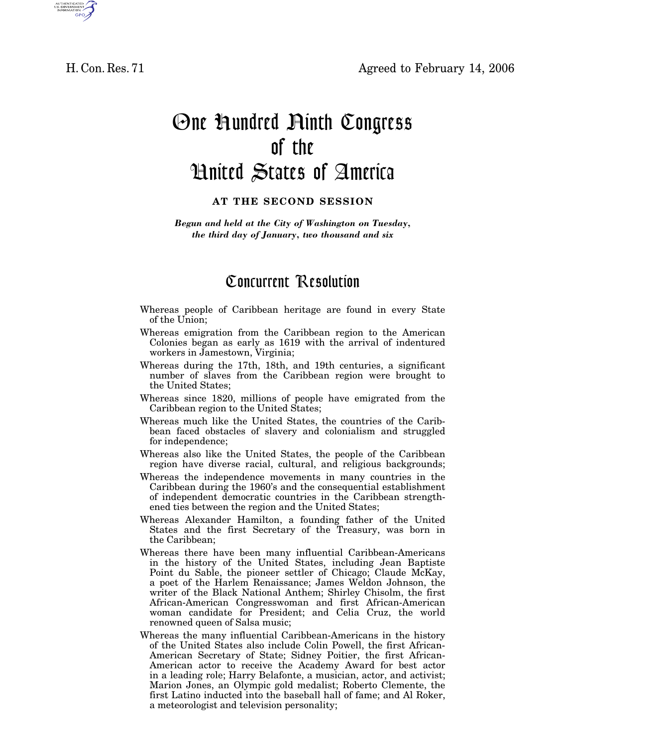H. Con. Res. 71 Agreed to February 14, 2006



## One Hundred Ninth Congress of the United States of America

## **AT THE SECOND SESSION**

*Begun and held at the City of Washington on Tuesday, the third day of January, two thousand and six* 

## Concurrent Resolution

- Whereas people of Caribbean heritage are found in every State of the Union;
- Whereas emigration from the Caribbean region to the American Colonies began as early as 1619 with the arrival of indentured workers in Jamestown, Virginia;
- Whereas during the 17th, 18th, and 19th centuries, a significant number of slaves from the Caribbean region were brought to the United States;
- Whereas since 1820, millions of people have emigrated from the Caribbean region to the United States;
- Whereas much like the United States, the countries of the Caribbean faced obstacles of slavery and colonialism and struggled for independence;
- Whereas also like the United States, the people of the Caribbean region have diverse racial, cultural, and religious backgrounds;
- Whereas the independence movements in many countries in the Caribbean during the 1960's and the consequential establishment of independent democratic countries in the Caribbean strengthened ties between the region and the United States;
- Whereas Alexander Hamilton, a founding father of the United States and the first Secretary of the Treasury, was born in the Caribbean;
- Whereas there have been many influential Caribbean-Americans in the history of the United States, including Jean Baptiste Point du Sable, the pioneer settler of Chicago; Claude McKay, a poet of the Harlem Renaissance; James Weldon Johnson, the writer of the Black National Anthem; Shirley Chisolm, the first African-American Congresswoman and first African-American woman candidate for President; and Celia Cruz, the world renowned queen of Salsa music;
- Whereas the many influential Caribbean-Americans in the history of the United States also include Colin Powell, the first African-American Secretary of State; Sidney Poitier, the first African-American actor to receive the Academy Award for best actor in a leading role; Harry Belafonte, a musician, actor, and activist; Marion Jones, an Olympic gold medalist; Roberto Clemente, the first Latino inducted into the baseball hall of fame; and Al Roker, a meteorologist and television personality;